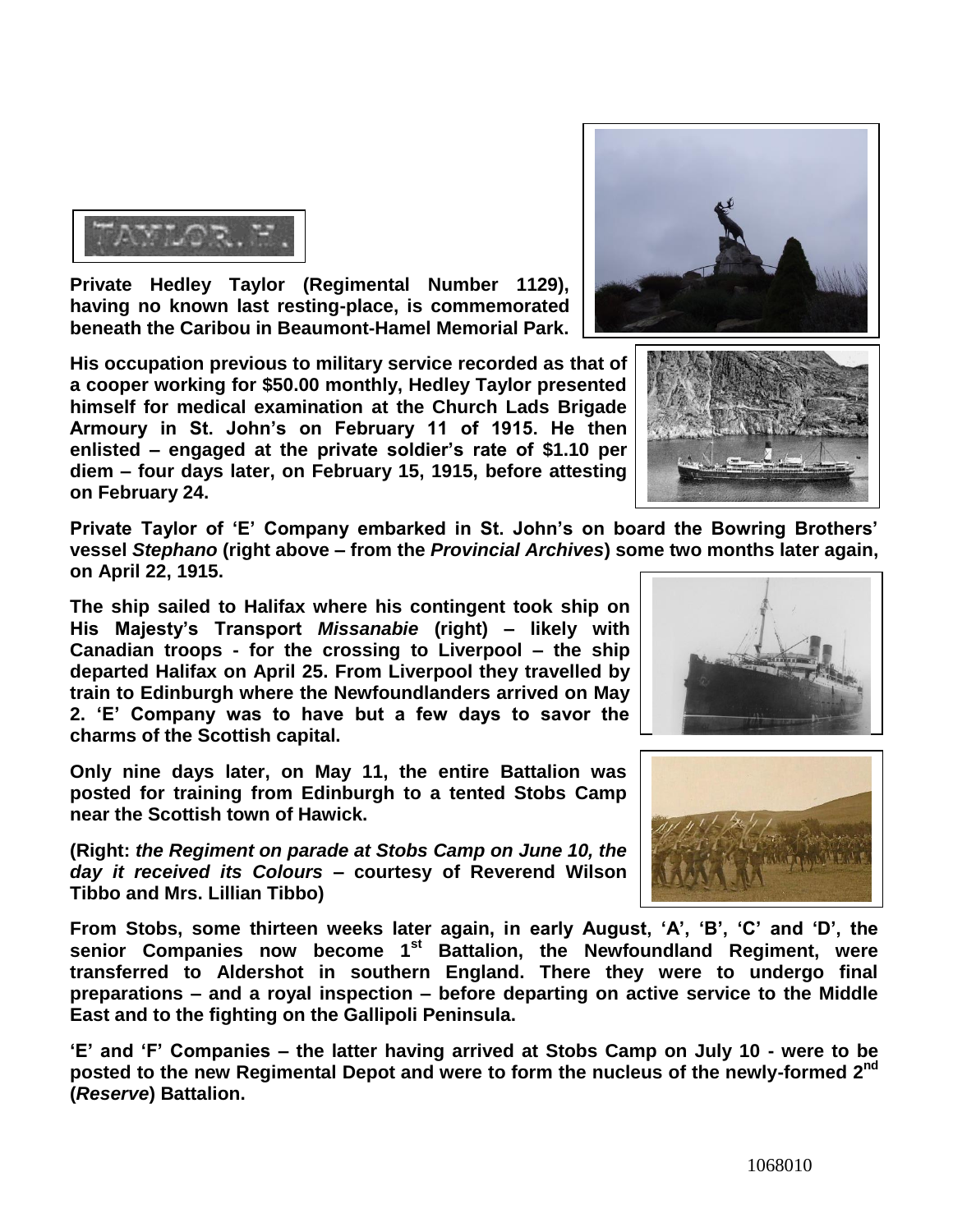**Private Hedley Taylor (Regimental Number 1129), having no known last resting-place, is commemorated beneath the Caribou in Beaumont-Hamel Memorial Park.** 

**His occupation previous to military service recorded as that of a cooper working for \$50.00 monthly, Hedley Taylor presented himself for medical examination at the Church Lads Brigade Armoury in St. John's on February 11 of 1915. He then enlisted – engaged at the private soldier's rate of \$1.10 per diem – four days later, on February 15, 1915, before attesting on February 24.**

**Private Taylor of 'E' Company embarked in St. John's on board the Bowring Brothers' vessel** *Stephano* **(right above – from the** *Provincial Archives***) some two months later again, on April 22, 1915.** 

**The ship sailed to Halifax where his contingent took ship on His Majesty's Transport** *Missanabie* **(right) – likely with Canadian troops - for the crossing to Liverpool – the ship departed Halifax on April 25. From Liverpool they travelled by train to Edinburgh where the Newfoundlanders arrived on May 2. 'E' Company was to have but a few days to savor the charms of the Scottish capital.**

**Only nine days later, on May 11, the entire Battalion was posted for training from Edinburgh to a tented Stobs Camp near the Scottish town of Hawick.**

**(Right:** *the Regiment on parade at Stobs Camp on June 10, the day it received its Colours –* **courtesy of Reverend Wilson Tibbo and Mrs. Lillian Tibbo)**

**From Stobs, some thirteen weeks later again, in early August, 'A', 'B', 'C' and 'D', the senior Companies now become 1st Battalion, the Newfoundland Regiment, were transferred to Aldershot in southern England. There they were to undergo final preparations – and a royal inspection – before departing on active service to the Middle East and to the fighting on the Gallipoli Peninsula.**

**'E' and 'F' Companies – the latter having arrived at Stobs Camp on July 10 - were to be**  posted to the new Regimental Depot and were to form the nucleus of the newly-formed 2<sup>nd</sup> **(***Reserve***) Battalion.**







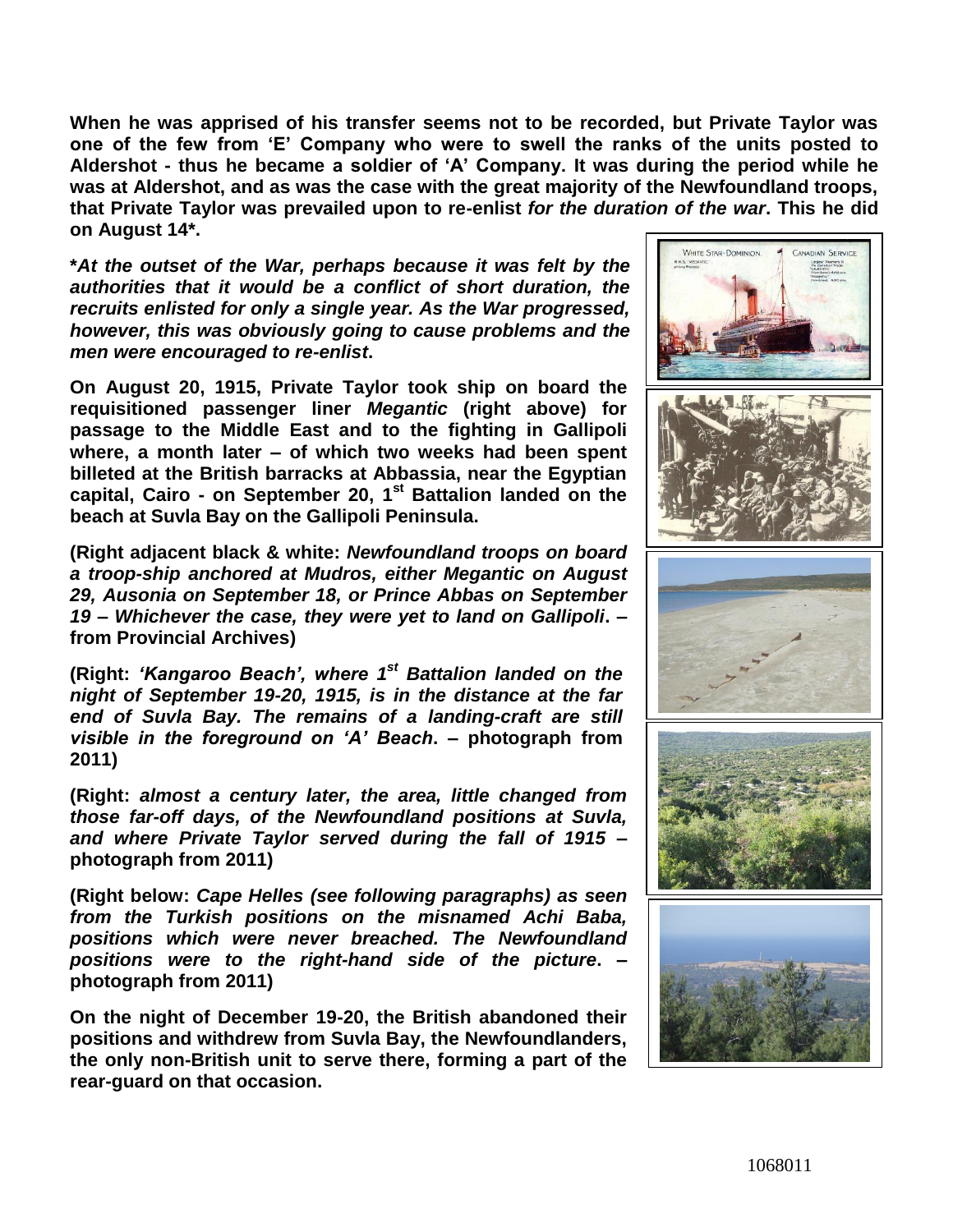**When he was apprised of his transfer seems not to be recorded, but Private Taylor was one of the few from 'E' Company who were to swell the ranks of the units posted to Aldershot - thus he became a soldier of 'A' Company. It was during the period while he was at Aldershot, and as was the case with the great majority of the Newfoundland troops, that Private Taylor was prevailed upon to re-enlist** *for the duration of the war***. This he did on August 14\*.**

**\****At the outset of the War, perhaps because it was felt by the authorities that it would be a conflict of short duration, the recruits enlisted for only a single year. As the War progressed, however, this was obviously going to cause problems and the men were encouraged to re-enlist***.**

**On August 20, 1915, Private Taylor took ship on board the requisitioned passenger liner** *Megantic* **(right above) for passage to the Middle East and to the fighting in Gallipoli where, a month later – of which two weeks had been spent billeted at the British barracks at Abbassia, near the Egyptian capital, Cairo - on September 20, 1st Battalion landed on the beach at Suvla Bay on the Gallipoli Peninsula.**

**(Right adjacent black & white:** *Newfoundland troops on board a troop-ship anchored at Mudros, either Megantic on August 29, Ausonia on September 18, or Prince Abbas on September 19 – Whichever the case, they were yet to land on Gallipoli***. – from Provincial Archives)**

**(Right:** *'Kangaroo Beach', where 1 st Battalion landed on the night of September 19-20, 1915, is in the distance at the far end of Suvla Bay. The remains of a landing-craft are still visible in the foreground on 'A' Beach***. – photograph from 2011)**

**(Right:** *almost a century later, the area, little changed from those far-off days, of the Newfoundland positions at Suvla, and where Private Taylor served during the fall of 1915* **– photograph from 2011)**

**(Right below:** *Cape Helles (see following paragraphs) as seen from the Turkish positions on the misnamed Achi Baba, positions which were never breached. The Newfoundland positions were to the right-hand side of the picture***. – photograph from 2011)**

**On the night of December 19-20, the British abandoned their positions and withdrew from Suvla Bay, the Newfoundlanders, the only non-British unit to serve there, forming a part of the rear-guard on that occasion.** 

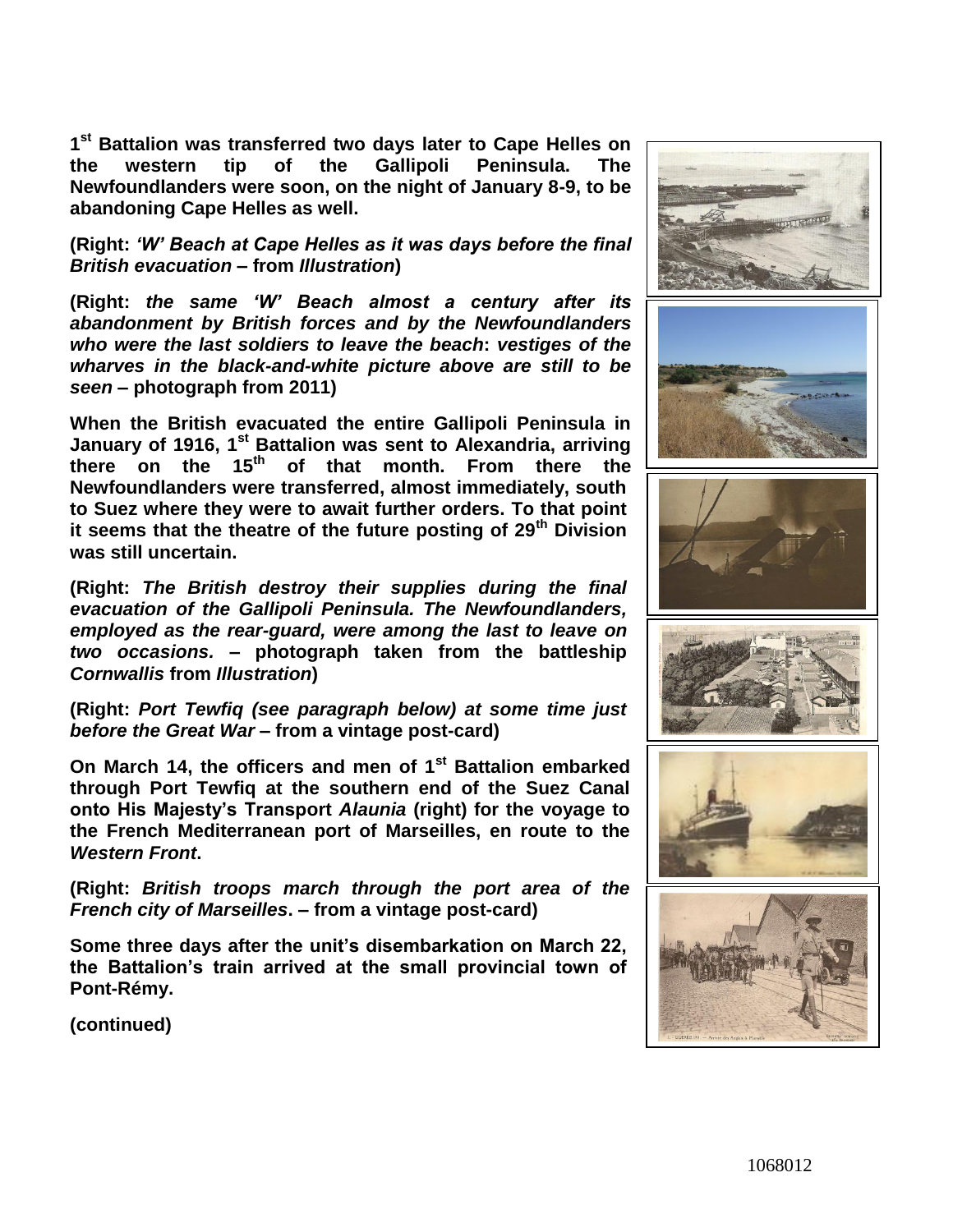**1 st Battalion was transferred two days later to Cape Helles on the western tip of the Gallipoli Peninsula. The Newfoundlanders were soon, on the night of January 8-9, to be abandoning Cape Helles as well.**

**(Right:** *'W' Beach at Cape Helles as it was days before the final British evacuation* **– from** *Illustration***)**

**(Right:** *the same 'W' Beach almost a century after its abandonment by British forces and by the Newfoundlanders who were the last soldiers to leave the beach***:** *vestiges of the wharves in the black-and-white picture above are still to be seen* **– photograph from 2011)**

**When the British evacuated the entire Gallipoli Peninsula in January of 1916, 1st Battalion was sent to Alexandria, arriving there on the 15th of that month. From there the Newfoundlanders were transferred, almost immediately, south to Suez where they were to await further orders. To that point it seems that the theatre of the future posting of 29th Division was still uncertain.**

**(Right:** *The British destroy their supplies during the final evacuation of the Gallipoli Peninsula. The Newfoundlanders, employed as the rear-guard, were among the last to leave on two occasions.* **– photograph taken from the battleship**  *Cornwallis* **from** *Illustration***)**

**(Right:** *Port Tewfiq (see paragraph below) at some time just before the Great War* **– from a vintage post-card)**

**On March 14, the officers and men of 1st Battalion embarked through Port Tewfiq at the southern end of the Suez Canal onto His Majesty's Transport** *Alaunia* **(right) for the voyage to the French Mediterranean port of Marseilles, en route to the**  *Western Front***.**

**(Right:** *British troops march through the port area of the French city of Marseilles***. – from a vintage post-card)**

**Some three days after the unit's disembarkation on March 22, the Battalion's train arrived at the small provincial town of Pont-Rémy.**

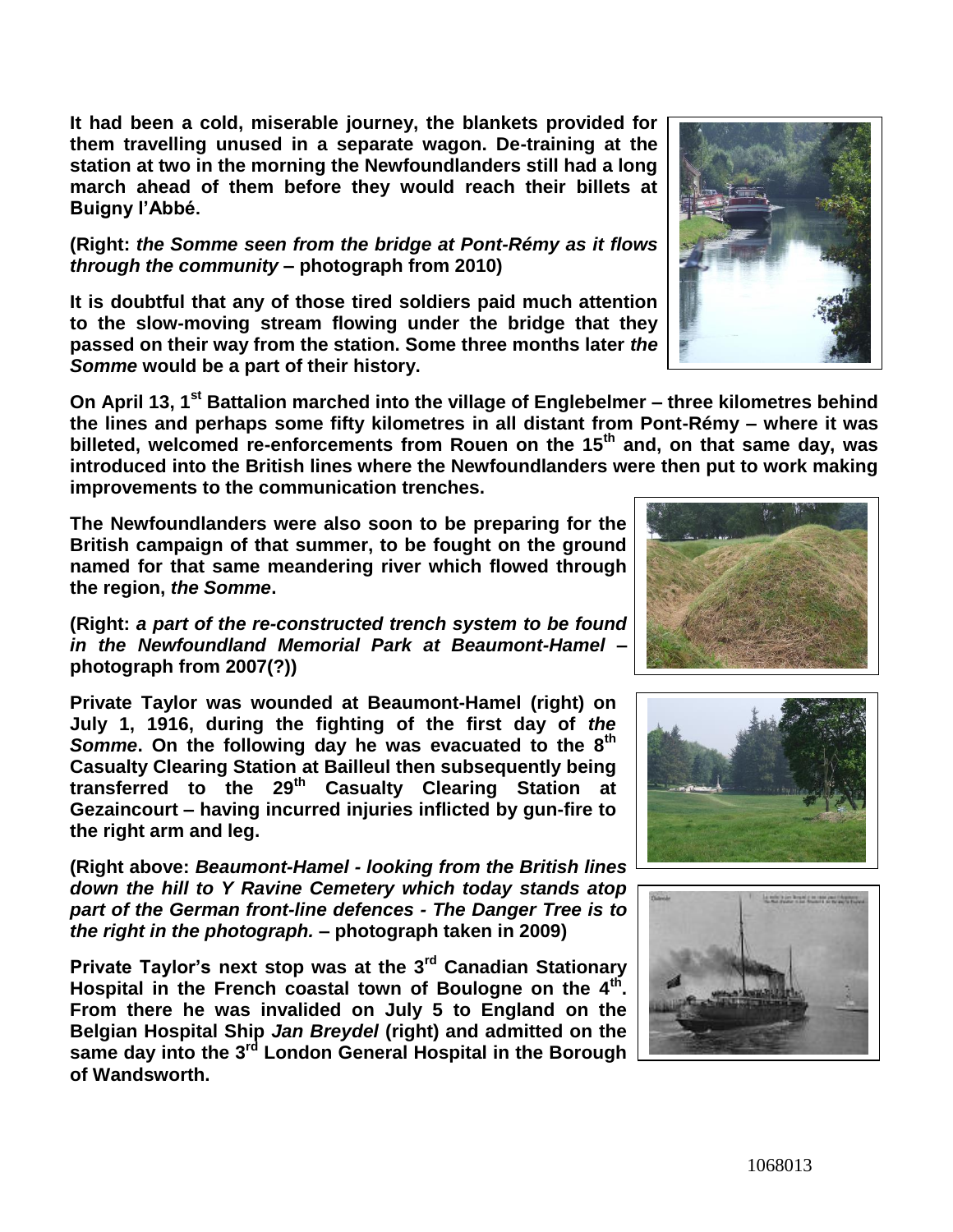**It had been a cold, miserable journey, the blankets provided for them travelling unused in a separate wagon. De-training at the station at two in the morning the Newfoundlanders still had a long march ahead of them before they would reach their billets at Buigny l'Abbé.**

## **(Right:** *the Somme seen from the bridge at Pont-Rémy as it flows through the community* **– photograph from 2010)**

**It is doubtful that any of those tired soldiers paid much attention to the slow-moving stream flowing under the bridge that they passed on their way from the station. Some three months later** *the Somme* **would be a part of their history.**

**On April 13, 1st Battalion marched into the village of Englebelmer – three kilometres behind the lines and perhaps some fifty kilometres in all distant from Pont-Rémy – where it was billeted, welcomed re-enforcements from Rouen on the 15th and, on that same day, was introduced into the British lines where the Newfoundlanders were then put to work making improvements to the communication trenches.** 

**The Newfoundlanders were also soon to be preparing for the British campaign of that summer, to be fought on the ground named for that same meandering river which flowed through the region,** *the Somme***.**

**(Right:** *a part of the re-constructed trench system to be found in the Newfoundland Memorial Park at Beaumont-Hamel –* **photograph from 2007(?))**

**Private Taylor was wounded at Beaumont-Hamel (right) on July 1, 1916, during the fighting of the first day of** *the Somme***. On the following day he was evacuated to the 8th Casualty Clearing Station at Bailleul then subsequently being transferred to the 29th Casualty Clearing Station at Gezaincourt – having incurred injuries inflicted by gun-fire to the right arm and leg.**

**(Right above:** *Beaumont-Hamel - looking from the British lines down the hill to Y Ravine Cemetery which today stands atop part of the German front-line defences - The Danger Tree is to the right in the photograph.* **– photograph taken in 2009)**

**Private Taylor's next stop was at the 3rd Canadian Stationary Hospital in the French coastal town of Boulogne on the 4th . From there he was invalided on July 5 to England on the Belgian Hospital Ship** *Jan Breydel* **(right) and admitted on the same day into the 3 rd London General Hospital in the Borough of Wandsworth.**







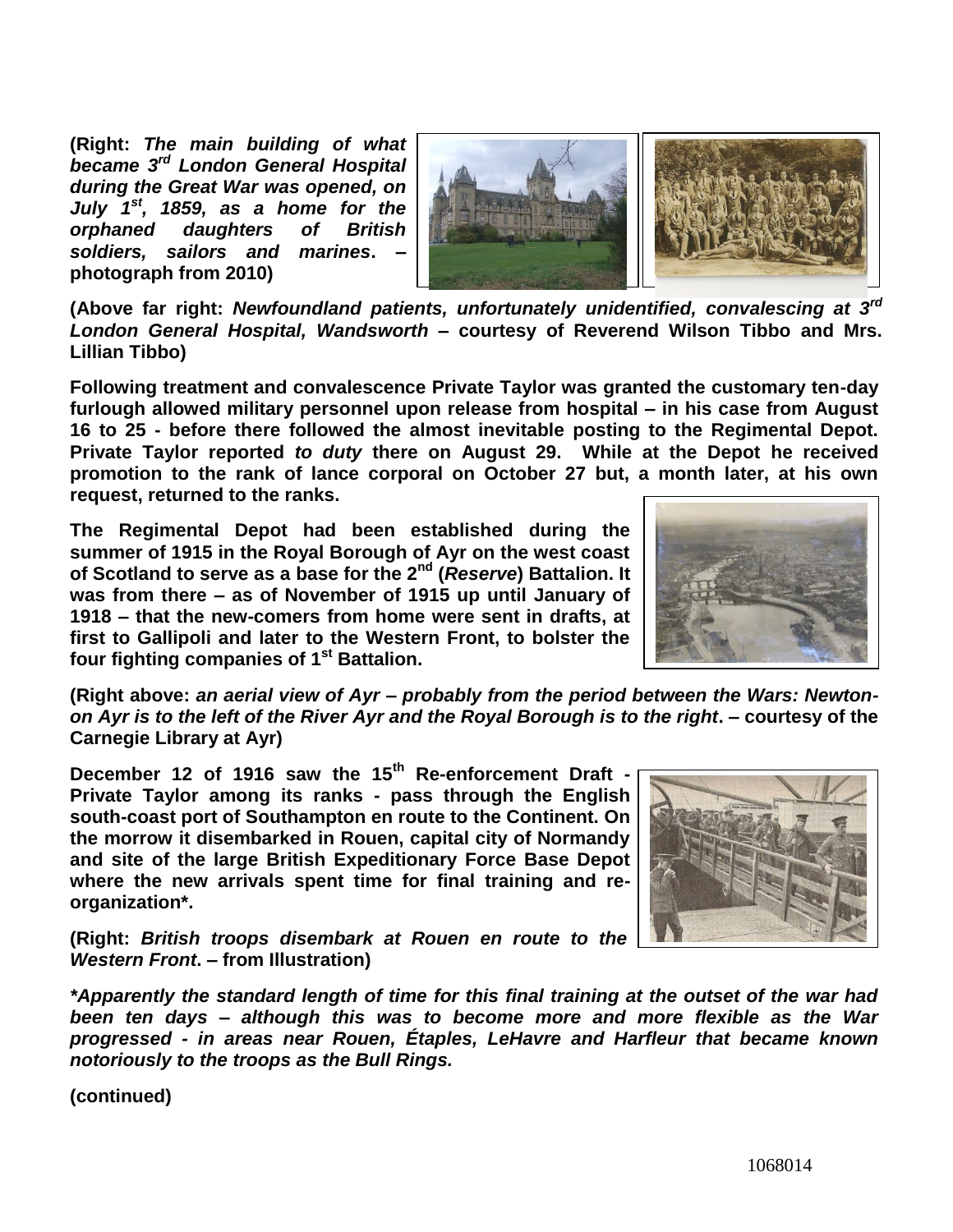**(Right:** *The main building of what became 3 rd London General Hospital during the Great War was opened, on July 1st, 1859, as a home for the orphaned daughters of British soldiers, sailors and marines***. – photograph from 2010)**



**(Above far right:** *Newfoundland patients, unfortunately unidentified, convalescing at 3rd London General Hospital, Wandsworth –* **courtesy of Reverend Wilson Tibbo and Mrs. Lillian Tibbo)**

**Following treatment and convalescence Private Taylor was granted the customary ten-day furlough allowed military personnel upon release from hospital – in his case from August 16 to 25 - before there followed the almost inevitable posting to the Regimental Depot. Private Taylor reported** *to duty* **there on August 29. While at the Depot he received promotion to the rank of lance corporal on October 27 but, a month later, at his own request, returned to the ranks.**

**The Regimental Depot had been established during the summer of 1915 in the Royal Borough of Ayr on the west coast of Scotland to serve as a base for the 2nd (***Reserve***) Battalion. It was from there – as of November of 1915 up until January of 1918 – that the new-comers from home were sent in drafts, at first to Gallipoli and later to the Western Front, to bolster the four fighting companies of 1st Battalion.** 



**(Right above:** *an aerial view of Ayr – probably from the period between the Wars: Newtonon Ayr is to the left of the River Ayr and the Royal Borough is to the right***. – courtesy of the Carnegie Library at Ayr)**

**December 12 of 1916 saw the 15th Re-enforcement Draft - Private Taylor among its ranks - pass through the English south-coast port of Southampton en route to the Continent. On the morrow it disembarked in Rouen, capital city of Normandy and site of the large British Expeditionary Force Base Depot where the new arrivals spent time for final training and reorganization\*.**



**(Right:** *British troops disembark at Rouen en route to the Western Front***. – from Illustration)**

*\*Apparently the standard length of time for this final training at the outset of the war had been ten days – although this was to become more and more flexible as the War progressed - in areas near Rouen, Étaples, LeHavre and Harfleur that became known notoriously to the troops as the Bull Rings.*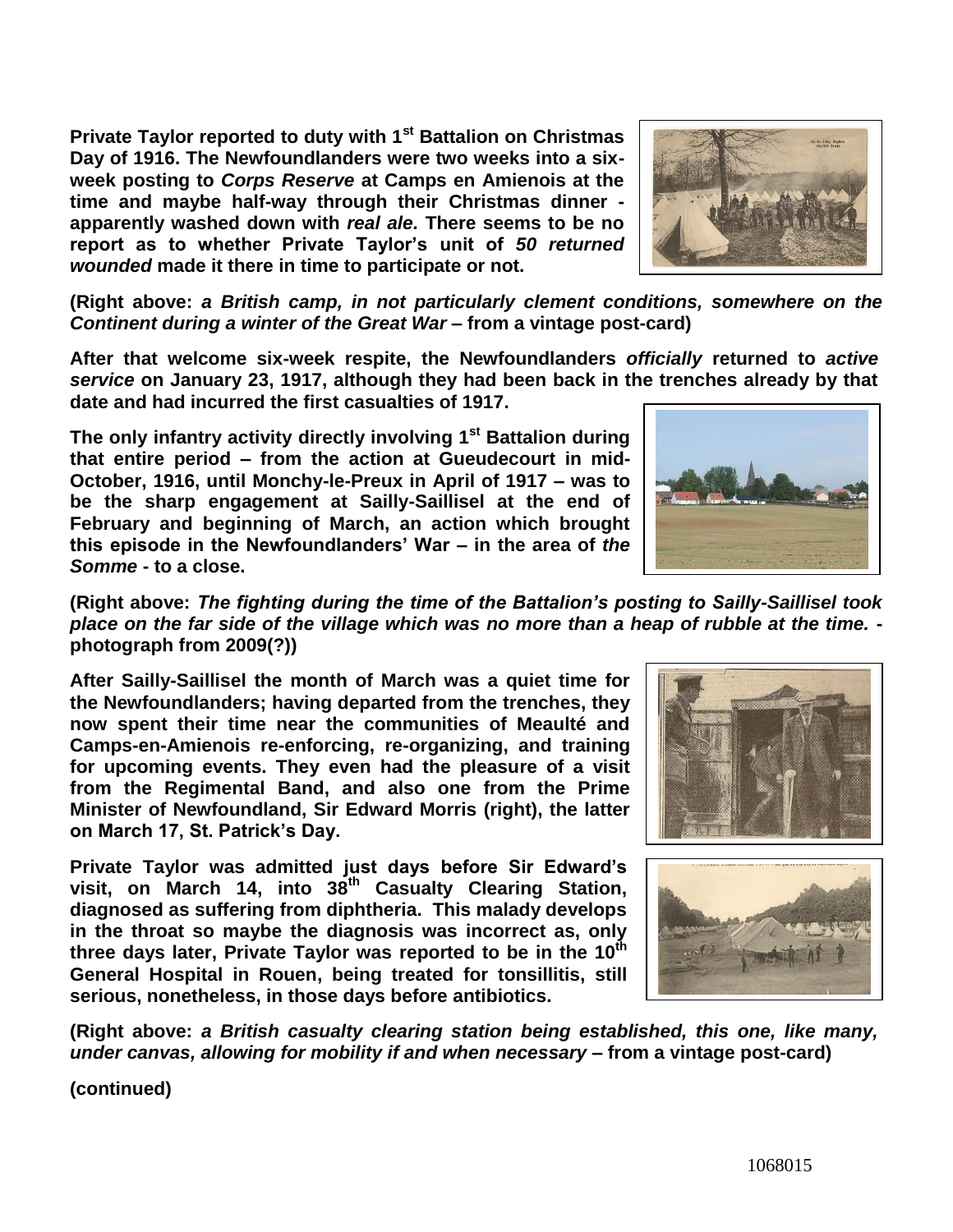**Private Taylor reported to duty with 1st Battalion on Christmas Day of 1916. The Newfoundlanders were two weeks into a sixweek posting to** *Corps Reserve* **at Camps en Amienois at the time and maybe half-way through their Christmas dinner apparently washed down with** *real ale.* **There seems to be no report as to whether Private Taylor's unit of** *50 returned wounded* **made it there in time to participate or not.**

**(Right above:** *a British camp, in not particularly clement conditions, somewhere on the Continent during a winter of the Great War* **– from a vintage post-card)**

**After that welcome six-week respite, the Newfoundlanders** *officially* **returned to** *active service* **on January 23, 1917, although they had been back in the trenches already by that date and had incurred the first casualties of 1917.** 

**The only infantry activity directly involving 1st Battalion during that entire period – from the action at Gueudecourt in mid-October, 1916, until Monchy-le-Preux in April of 1917 – was to be the sharp engagement at Sailly-Saillisel at the end of February and beginning of March, an action which brought this episode in the Newfoundlanders' War – in the area of** *the Somme* **- to a close.**

**(Right above:** *The fighting during the time of the Battalion's posting to Sailly-Saillisel took place on the far side of the village which was no more than a heap of rubble at the time.*  **photograph from 2009(?))**

**After Sailly-Saillisel the month of March was a quiet time for the Newfoundlanders; having departed from the trenches, they now spent their time near the communities of Meaulté and Camps-en-Amienois re-enforcing, re-organizing, and training for upcoming events. They even had the pleasure of a visit from the Regimental Band, and also one from the Prime Minister of Newfoundland, Sir Edward Morris (right), the latter on March 17, St. Patrick's Day.** 

**Private Taylor was admitted just days before Sir Edward's visit, on March 14, into 38th Casualty Clearing Station, diagnosed as suffering from diphtheria. This malady develops in the throat so maybe the diagnosis was incorrect as, only three days later, Private Taylor was reported to be in the 10th General Hospital in Rouen, being treated for tonsillitis, still serious, nonetheless, in those days before antibiotics.**

**(Right above:** *a British casualty clearing station being established, this one, like many, under canvas, allowing for mobility if and when necessary* **– from a vintage post-card)**





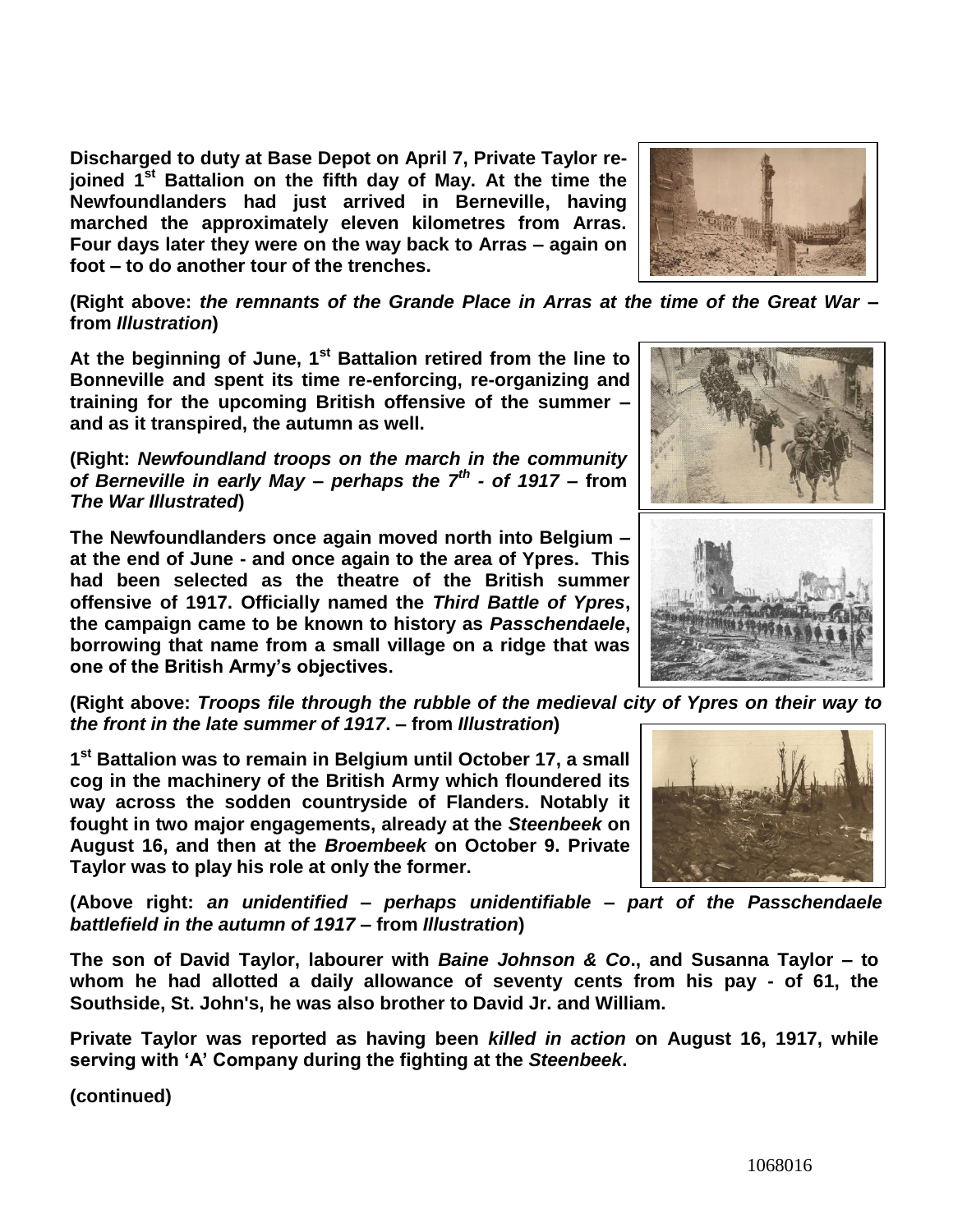**Discharged to duty at Base Depot on April 7, Private Taylor rejoined 1st Battalion on the fifth day of May. At the time the Newfoundlanders had just arrived in Berneville, having marched the approximately eleven kilometres from Arras. Four days later they were on the way back to Arras – again on foot – to do another tour of the trenches.** 

**(Right above:** *the remnants of the Grande Place in Arras at the time of the Great War* **– from** *Illustration***)**

**At the beginning of June, 1st Battalion retired from the line to Bonneville and spent its time re-enforcing, re-organizing and training for the upcoming British offensive of the summer – and as it transpired, the autumn as well.**

**(Right:** *Newfoundland troops on the march in the community of Berneville in early May – perhaps the 7th - of 1917* **– from**  *The War Illustrated***)**

**The Newfoundlanders once again moved north into Belgium – at the end of June - and once again to the area of Ypres. This had been selected as the theatre of the British summer offensive of 1917. Officially named the** *Third Battle of Ypres***, the campaign came to be known to history as** *Passchendaele***, borrowing that name from a small village on a ridge that was one of the British Army's objectives.**

**(Right above:** *Troops file through the rubble of the medieval city of Ypres on their way to the front in the late summer of 1917***. – from** *Illustration***)**

**1 st Battalion was to remain in Belgium until October 17, a small cog in the machinery of the British Army which floundered its way across the sodden countryside of Flanders. Notably it fought in two major engagements, already at the** *Steenbeek* **on August 16, and then at the** *Broembeek* **on October 9. Private Taylor was to play his role at only the former.**

**(Above right:** *an unidentified – perhaps unidentifiable – part of the Passchendaele battlefield in the autumn of 1917* **– from** *Illustration***)**

**The son of David Taylor, labourer with** *Baine Johnson & Co***., and Susanna Taylor – to whom he had allotted a daily allowance of seventy cents from his pay - of 61, the Southside, St. John's, he was also brother to David Jr. and William.** 

**Private Taylor was reported as having been** *killed in action* **on August 16, 1917, while serving with 'A' Company during the fighting at the** *Steenbeek***.** 





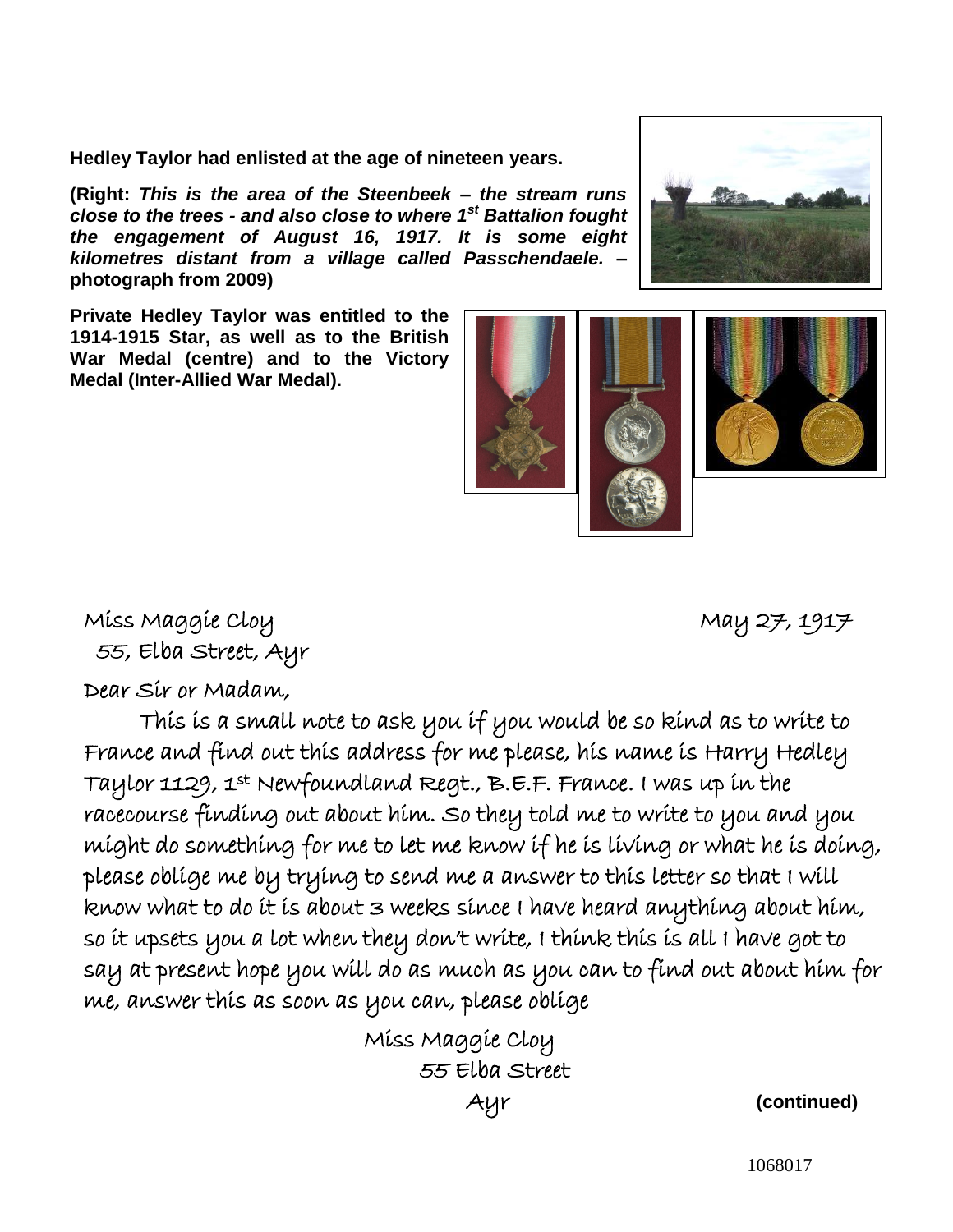**Hedley Taylor had enlisted at the age of nineteen years.**

**(Right:** *This is the area of the Steenbeek – the stream runs close to the trees - and also close to where 1st Battalion fought the engagement of August 16, 1917. It is some eight kilometres distant from a village called Passchendaele.* **– photograph from 2009)**

**Private Hedley Taylor was entitled to the 1914-1915 Star, as well as to the British War Medal (centre) and to the Victory Medal (Inter-Allied War Medal).**

## Miss Maggie Cloy and May 27, 1917 55, Elba Street, Ayr

Dear Sir or Madam,

 This is a small note to ask you if you would be so kind as to write to France and find out this address for me please, his name is Harry Hedley Taylor 1129, 1st Newfoundland Regt., B.E.F. France. I was up in the racecourse finding out about him. So they told me to write to you and you might do something for me to let me know if he is living or what he is doing, please oblige me by trying to send me a answer to this letter so that I will know what to do it is about 3 weeks since I have heard anything about him, so it upsets you a lot when they don't write, I think this is all I have got to say at present hope you will do as much as you can to find out about him for me, answer this as soon as you can, please oblige ľ

Miss Maggie Cloy 55 Elba Street

Ayr **(continued)**